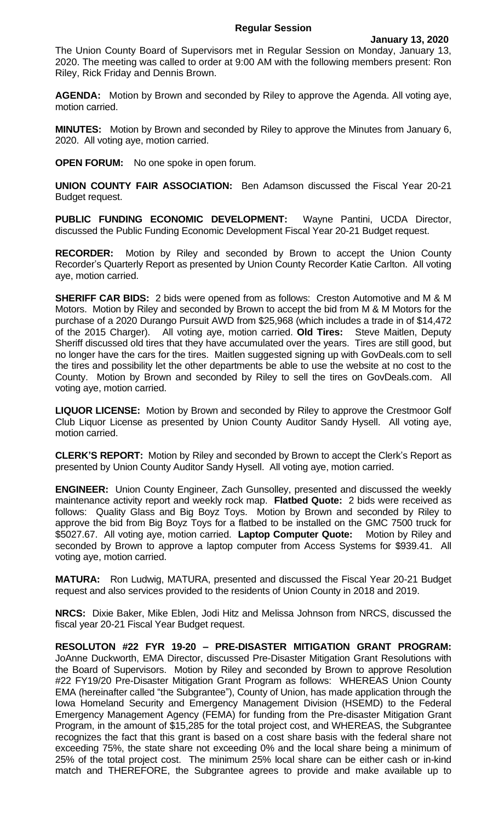The Union County Board of Supervisors met in Regular Session on Monday, January 13, 2020. The meeting was called to order at 9:00 AM with the following members present: Ron Riley, Rick Friday and Dennis Brown.

**AGENDA:** Motion by Brown and seconded by Riley to approve the Agenda. All voting aye, motion carried.

**MINUTES:** Motion by Brown and seconded by Riley to approve the Minutes from January 6, 2020. All voting aye, motion carried.

**OPEN FORUM:** No one spoke in open forum.

**UNION COUNTY FAIR ASSOCIATION:** Ben Adamson discussed the Fiscal Year 20-21 Budget request.

**PUBLIC FUNDING ECONOMIC DEVELOPMENT:** Wayne Pantini, UCDA Director, discussed the Public Funding Economic Development Fiscal Year 20-21 Budget request.

**RECORDER:** Motion by Riley and seconded by Brown to accept the Union County Recorder's Quarterly Report as presented by Union County Recorder Katie Carlton. All voting aye, motion carried.

**SHERIFF CAR BIDS:** 2 bids were opened from as follows: Creston Automotive and M & M Motors. Motion by Riley and seconded by Brown to accept the bid from M & M Motors for the purchase of a 2020 Durango Pursuit AWD from \$25,968 (which includes a trade in of \$14,472 of the 2015 Charger). All voting aye, motion carried. **Old Tires:** Steve Maitlen, Deputy Sheriff discussed old tires that they have accumulated over the years. Tires are still good, but no longer have the cars for the tires. Maitlen suggested signing up with GovDeals.com to sell the tires and possibility let the other departments be able to use the website at no cost to the County. Motion by Brown and seconded by Riley to sell the tires on GovDeals.com. All voting aye, motion carried.

**LIQUOR LICENSE:** Motion by Brown and seconded by Riley to approve the Crestmoor Golf Club Liquor License as presented by Union County Auditor Sandy Hysell. All voting aye, motion carried.

**CLERK'S REPORT:** Motion by Riley and seconded by Brown to accept the Clerk's Report as presented by Union County Auditor Sandy Hysell. All voting aye, motion carried.

**ENGINEER:** Union County Engineer, Zach Gunsolley, presented and discussed the weekly maintenance activity report and weekly rock map. **Flatbed Quote:** 2 bids were received as follows: Quality Glass and Big Boyz Toys. Motion by Brown and seconded by Riley to approve the bid from Big Boyz Toys for a flatbed to be installed on the GMC 7500 truck for \$5027.67. All voting aye, motion carried. **Laptop Computer Quote:** Motion by Riley and seconded by Brown to approve a laptop computer from Access Systems for \$939.41. All voting aye, motion carried.

**MATURA:** Ron Ludwig, MATURA, presented and discussed the Fiscal Year 20-21 Budget request and also services provided to the residents of Union County in 2018 and 2019.

**NRCS:** Dixie Baker, Mike Eblen, Jodi Hitz and Melissa Johnson from NRCS, discussed the fiscal year 20-21 Fiscal Year Budget request.

**RESOLUTON #22 FYR 19-20 – PRE-DISASTER MITIGATION GRANT PROGRAM:**  JoAnne Duckworth, EMA Director, discussed Pre-Disaster Mitigation Grant Resolutions with the Board of Supervisors. Motion by Riley and seconded by Brown to approve Resolution #22 FY19/20 Pre-Disaster Mitigation Grant Program as follows: WHEREAS Union County EMA (hereinafter called "the Subgrantee"), County of Union, has made application through the Iowa Homeland Security and Emergency Management Division (HSEMD) to the Federal Emergency Management Agency (FEMA) for funding from the Pre-disaster Mitigation Grant Program, in the amount of \$15,285 for the total project cost, and WHEREAS, the Subgrantee recognizes the fact that this grant is based on a cost share basis with the federal share not exceeding 75%, the state share not exceeding 0% and the local share being a minimum of 25% of the total project cost. The minimum 25% local share can be either cash or in-kind match and THEREFORE, the Subgrantee agrees to provide and make available up to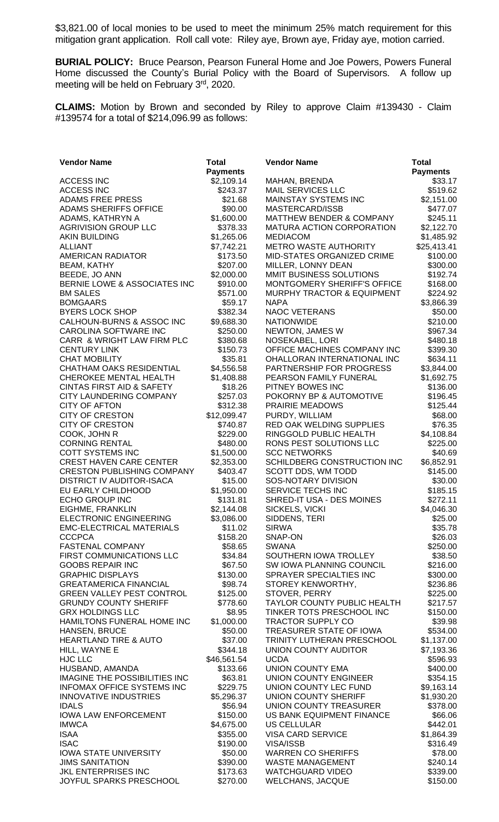\$3,821.00 of local monies to be used to meet the minimum 25% match requirement for this mitigation grant application. Roll call vote: Riley aye, Brown aye, Friday aye, motion carried.

**BURIAL POLICY:** Bruce Pearson, Pearson Funeral Home and Joe Powers, Powers Funeral Home discussed the County's Burial Policy with the Board of Supervisors. A follow up meeting will be held on February 3rd, 2020.

**CLAIMS:** Motion by Brown and seconded by Riley to approve Claim #139430 - Claim #139574 for a total of \$214,096.99 as follows:

| <b>Vendor Name</b>                   | <b>Total</b>            | <b>Vendor Name</b>                     | <b>Total</b>         |
|--------------------------------------|-------------------------|----------------------------------------|----------------------|
|                                      | <b>Payments</b>         |                                        | <b>Payments</b>      |
| <b>ACCESS INC</b>                    | \$2,109.14              | MAHAN, BRENDA                          | \$33.17              |
| <b>ACCESS INC</b>                    | \$243.37                | <b>MAIL SERVICES LLC</b>               | \$519.62             |
| <b>ADAMS FREE PRESS</b>              | \$21.68                 | <b>MAINSTAY SYSTEMS INC</b>            | \$2,151.00           |
| <b>ADAMS SHERIFFS OFFICE</b>         | \$90.00                 | MASTERCARD/ISSB                        | \$477.07             |
| ADAMS, KATHRYN A                     | \$1,600.00              | <b>MATTHEW BENDER &amp; COMPANY</b>    | \$245.11             |
| <b>AGRIVISION GROUP LLC</b>          | \$378.33                | <b>MATURA ACTION CORPORATION</b>       | \$2,122.70           |
| <b>AKIN BUILDING</b>                 | \$1,265.06              | <b>MEDIACOM</b>                        | \$1,485.92           |
| <b>ALLIANT</b>                       | \$7,742.21              | <b>METRO WASTE AUTHORITY</b>           | \$25,413.41          |
| <b>AMERICAN RADIATOR</b>             | \$173.50                | MID-STATES ORGANIZED CRIME             | \$100.00             |
| <b>BEAM, KATHY</b>                   | \$207.00                | MILLER, LONNY DEAN                     | \$300.00             |
| BEEDE, JO ANN                        | \$2,000.00              | MMIT BUSINESS SOLUTIONS                | \$192.74             |
| BERNIE LOWE & ASSOCIATES INC         | \$910.00                | MONTGOMERY SHERIFF'S OFFICE            | \$168.00             |
| <b>BM SALES</b>                      | \$571.00                | <b>MURPHY TRACTOR &amp; EQUIPMENT</b>  | \$224.92             |
| <b>BOMGAARS</b>                      | \$59.17                 | <b>NAPA</b>                            | \$3,866.39           |
| <b>BYERS LOCK SHOP</b>               | \$382.34                | <b>NAOC VETERANS</b>                   | \$50.00              |
| CALHOUN-BURNS & ASSOC INC            | \$9,688.30              | <b>NATIONWIDE</b>                      | \$210.00             |
| CAROLINA SOFTWARE INC                | \$250.00                | NEWTON, JAMES W                        | \$967.34             |
| CARR & WRIGHT LAW FIRM PLC           | \$380.68                | NOSEKABEL, LORI                        | \$480.18             |
| <b>CENTURY LINK</b>                  | \$150.73                | OFFICE MACHINES COMPANY INC            | \$399.30             |
| <b>CHAT MOBILITY</b>                 | \$35.81                 | OHALLORAN INTERNATIONAL INC            | \$634.11             |
| <b>CHATHAM OAKS RESIDENTIAL</b>      | \$4,556.58              | PARTNERSHIP FOR PROGRESS               | \$3,844.00           |
| <b>CHEROKEE MENTAL HEALTH</b>        | \$1,408.88              | PEARSON FAMILY FUNERAL                 | \$1,692.75           |
| <b>CINTAS FIRST AID &amp; SAFETY</b> | \$18.26                 | PITNEY BOWES INC                       | \$136.00             |
| CITY LAUNDERING COMPANY              | \$257.03                | POKORNY BP & AUTOMOTIVE                | \$196.45             |
| <b>CITY OF AFTON</b>                 | \$312.38                | <b>PRAIRIE MEADOWS</b>                 | \$125.44             |
| <b>CITY OF CRESTON</b>               | \$12,099.47             | PURDY, WILLIAM                         | \$68.00              |
| <b>CITY OF CRESTON</b>               | \$740.87                | RED OAK WELDING SUPPLIES               | \$76.35              |
| COOK, JOHN R                         | \$229.00                | RINGGOLD PUBLIC HEALTH                 | \$4,108.84           |
| <b>CORNING RENTAL</b>                | \$480.00                | RONS PEST SOLUTIONS LLC                | \$225.00             |
| COTT SYSTEMS INC                     | \$1,500.00              | <b>SCC NETWORKS</b>                    | \$40.69              |
| <b>CREST HAVEN CARE CENTER</b>       | \$2,353.00              | SCHILDBERG CONSTRUCTION INC            | \$6,852.91           |
| <b>CRESTON PUBLISHING COMPANY</b>    | \$403.47                | SCOTT DDS, WM TODD                     | \$145.00             |
| <b>DISTRICT IV AUDITOR-ISACA</b>     | \$15.00                 | SOS-NOTARY DIVISION                    | \$30.00              |
| EU EARLY CHILDHOOD                   | \$1,950.00              | SERVICE TECHS INC                      | \$185.15             |
| ECHO GROUP INC                       | \$131.81                | SHRED-IT USA - DES MOINES              | \$272.11             |
| EIGHME, FRANKLIN                     | \$2,144.08              | SICKELS, VICKI                         | \$4,046.30           |
| ELECTRONIC ENGINEERING               | \$3,086.00              | SIDDENS, TERI                          | \$25.00              |
| <b>EMC-ELECTRICAL MATERIALS</b>      | \$11.02                 | <b>SIRWA</b>                           | \$35.78              |
| <b>CCCPCA</b>                        | \$158.20                | SNAP-ON                                | \$26.03              |
| <b>FASTENAL COMPANY</b>              | \$58.65                 | <b>SWANA</b>                           | \$250.00             |
| FIRST COMMUNICATIONS LLC             | \$34.84                 | SOUTHERN IOWA TROLLEY                  | \$38.50              |
| <b>GOOBS REPAIR INC</b>              | \$67.50                 | SW IOWA PLANNING COUNCIL               | \$216.00             |
| <b>GRAPHIC DISPLAYS</b>              | \$130.00                | SPRAYER SPECIALTIES INC                | \$300.00             |
| <b>GREATAMERICA FINANCIAL</b>        | \$98.74                 | STOREY KENWORTHY,                      | \$236.86             |
| <b>GREEN VALLEY PEST CONTROL</b>     | \$125.00                | STOVER, PERRY                          | \$225.00             |
| <b>GRUNDY COUNTY SHERIFF</b>         | \$778.60                | <b>TAYLOR COUNTY PUBLIC HEALTH</b>     | \$217.57             |
| <b>GRX HOLDINGS LLC</b>              | \$8.95                  | TINKER TOTS PRESCHOOL INC              | \$150.00             |
| HAMILTONS FUNERAL HOME INC           | \$1,000.00              | <b>TRACTOR SUPPLY CO</b>               | \$39.98              |
| HANSEN, BRUCE                        | \$50.00                 | TREASURER STATE OF IOWA                | \$534.00             |
| <b>HEARTLAND TIRE &amp; AUTO</b>     | \$37.00                 | TRINITY LUTHERAN PRESCHOOL             | \$1,137.00           |
| HILL, WAYNE E                        | \$344.18                | UNION COUNTY AUDITOR                   | \$7,193.36           |
| HJC LLC<br>HUSBAND, AMANDA           | \$46,561.54<br>\$133.66 | <b>UCDA</b><br><b>UNION COUNTY EMA</b> | \$596.93<br>\$400.00 |
| <b>IMAGINE THE POSSIBILITIES INC</b> | \$63.81                 | UNION COUNTY ENGINEER                  | \$354.15             |
| <b>INFOMAX OFFICE SYSTEMS INC</b>    | \$229.75                | UNION COUNTY LEC FUND                  | \$9,163.14           |
| <b>INNOVATIVE INDUSTRIES</b>         | \$5,296.37              | UNION COUNTY SHERIFF                   | \$1,930.20           |
| <b>IDALS</b>                         | \$56.94                 | UNION COUNTY TREASURER                 | \$378.00             |
| <b>IOWA LAW ENFORCEMENT</b>          | \$150.00                | US BANK EQUIPMENT FINANCE              | \$66.06              |
| <b>IMWCA</b>                         | \$4,675.00              | <b>US CELLULAR</b>                     | \$442.01             |
| <b>ISAA</b>                          | \$355.00                | <b>VISA CARD SERVICE</b>               | \$1,864.39           |
| <b>ISAC</b>                          | \$190.00                | <b>VISA/ISSB</b>                       | \$316.49             |
| <b>IOWA STATE UNIVERSITY</b>         | \$50.00                 | <b>WARREN CO SHERIFFS</b>              | \$78.00              |
| <b>JIMS SANITATION</b>               | \$390.00                | <b>WASTE MANAGEMENT</b>                | \$240.14             |
| JKL ENTERPRISES INC                  | \$173.63                | <b>WATCHGUARD VIDEO</b>                | \$339.00             |
| JOYFUL SPARKS PRESCHOOL              | \$270.00                | <b>WELCHANS, JACQUE</b>                | \$150.00             |